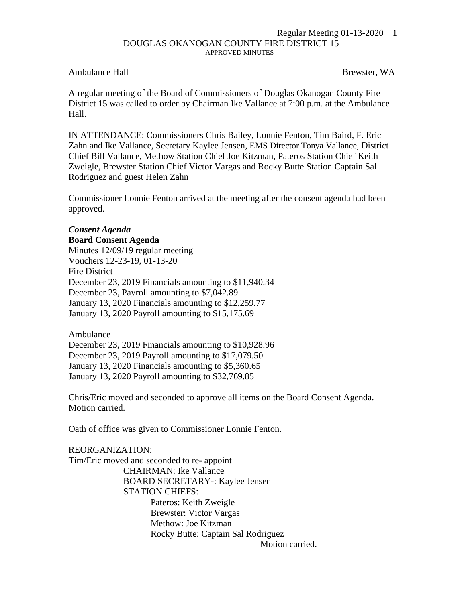## Regular Meeting 01-13-2020 1 DOUGLAS OKANOGAN COUNTY FIRE DISTRICT 15 APPROVED MINUTES

## Ambulance Hall Brewster, WA

A regular meeting of the Board of Commissioners of Douglas Okanogan County Fire District 15 was called to order by Chairman Ike Vallance at 7:00 p.m. at the Ambulance Hall.

IN ATTENDANCE: Commissioners Chris Bailey, Lonnie Fenton, Tim Baird, F. Eric Zahn and Ike Vallance, Secretary Kaylee Jensen, EMS Director Tonya Vallance, District Chief Bill Vallance, Methow Station Chief Joe Kitzman, Pateros Station Chief Keith Zweigle, Brewster Station Chief Victor Vargas and Rocky Butte Station Captain Sal Rodriguez and guest Helen Zahn

Commissioner Lonnie Fenton arrived at the meeting after the consent agenda had been approved.

## *Consent Agenda*

**Board Consent Agenda** Minutes 12/09/19 regular meeting Vouchers 12-23-19, 01-13-20 Fire District December 23, 2019 Financials amounting to \$11,940.34 December 23, Payroll amounting to \$7,042.89 January 13, 2020 Financials amounting to \$12,259.77 January 13, 2020 Payroll amounting to \$15,175.69

Ambulance December 23, 2019 Financials amounting to \$10,928.96 December 23, 2019 Payroll amounting to \$17,079.50 January 13, 2020 Financials amounting to \$5,360.65 January 13, 2020 Payroll amounting to \$32,769.85

Chris/Eric moved and seconded to approve all items on the Board Consent Agenda. Motion carried.

Oath of office was given to Commissioner Lonnie Fenton.

REORGANIZATION: Tim/Eric moved and seconded to re- appoint CHAIRMAN: Ike Vallance BOARD SECRETARY-: Kaylee Jensen STATION CHIEFS: Pateros: Keith Zweigle Brewster: Victor Vargas Methow: Joe Kitzman Rocky Butte: Captain Sal Rodriguez Motion carried.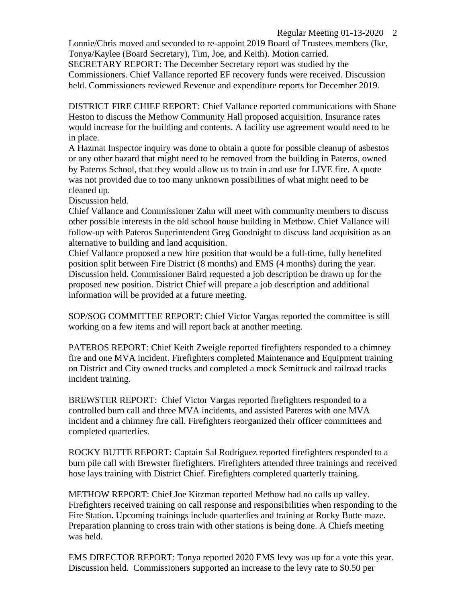Lonnie/Chris moved and seconded to re-appoint 2019 Board of Trustees members (Ike, Tonya/Kaylee (Board Secretary), Tim, Joe, and Keith). Motion carried. SECRETARY REPORT: The December Secretary report was studied by the Commissioners. Chief Vallance reported EF recovery funds were received. Discussion held. Commissioners reviewed Revenue and expenditure reports for December 2019.

DISTRICT FIRE CHIEF REPORT: Chief Vallance reported communications with Shane Heston to discuss the Methow Community Hall proposed acquisition. Insurance rates would increase for the building and contents. A facility use agreement would need to be in place.

A Hazmat Inspector inquiry was done to obtain a quote for possible cleanup of asbestos or any other hazard that might need to be removed from the building in Pateros, owned by Pateros School, that they would allow us to train in and use for LIVE fire. A quote was not provided due to too many unknown possibilities of what might need to be cleaned up.

Discussion held.

Chief Vallance and Commissioner Zahn will meet with community members to discuss other possible interests in the old school house building in Methow. Chief Vallance will follow-up with Pateros Superintendent Greg Goodnight to discuss land acquisition as an alternative to building and land acquisition.

Chief Vallance proposed a new hire position that would be a full-time, fully benefited position split between Fire District (8 months) and EMS (4 months) during the year. Discussion held. Commissioner Baird requested a job description be drawn up for the proposed new position. District Chief will prepare a job description and additional information will be provided at a future meeting.

SOP/SOG COMMITTEE REPORT: Chief Victor Vargas reported the committee is still working on a few items and will report back at another meeting.

PATEROS REPORT: Chief Keith Zweigle reported firefighters responded to a chimney fire and one MVA incident. Firefighters completed Maintenance and Equipment training on District and City owned trucks and completed a mock Semitruck and railroad tracks incident training.

BREWSTER REPORT: Chief Victor Vargas reported firefighters responded to a controlled burn call and three MVA incidents, and assisted Pateros with one MVA incident and a chimney fire call. Firefighters reorganized their officer committees and completed quarterlies.

ROCKY BUTTE REPORT: Captain Sal Rodriguez reported firefighters responded to a burn pile call with Brewster firefighters. Firefighters attended three trainings and received hose lays training with District Chief. Firefighters completed quarterly training.

METHOW REPORT: Chief Joe Kitzman reported Methow had no calls up valley. Firefighters received training on call response and responsibilities when responding to the Fire Station. Upcoming trainings include quarterlies and training at Rocky Butte maze. Preparation planning to cross train with other stations is being done. A Chiefs meeting was held.

EMS DIRECTOR REPORT: Tonya reported 2020 EMS levy was up for a vote this year. Discussion held. Commissioners supported an increase to the levy rate to \$0.50 per